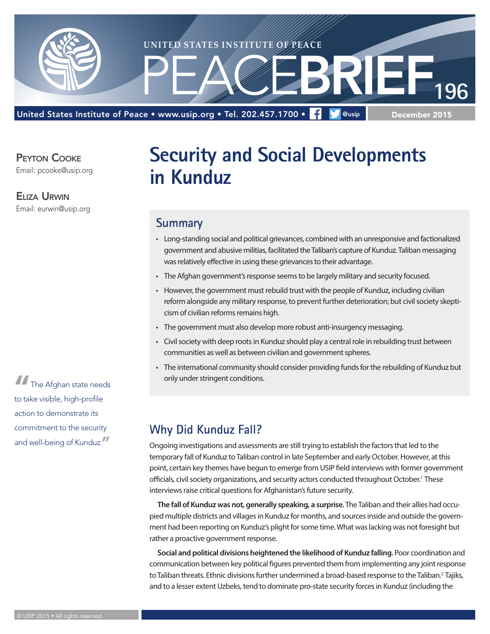

United States Institute of Peace • www.usip.org • Tel. 202.457.1700 •

December 2015

Peyton Cooke

Email: pcooke@usip.org

#### Eliza Urwin

Email: eurwin@usip.org

**"**The Afghan state needs to take visible, high-profile action to demonstrate its commitment to the security and well-being of Kunduz.**"**

# **Security and Social Developments in Kunduz**

#### **Summary**

- Long-standing social and political grievances, combined with an unresponsive and factionalized government and abusive militias, facilitated the Taliban's capture of Kunduz. Taliban messaging was relatively effective in using these grievances to their advantage.
- The Afghan government's response seems to be largely military and security focused.
- However, the government must rebuild trust with the people of Kunduz, including civilian reform alongside any military response, to prevent further deterioration; but civil society skepticism of civilian reforms remains high.
- The government must also develop more robust anti-insurgency messaging.
- Civil society with deep roots in Kunduz should play a central role in rebuilding trust between communities as well as between civilian and government spheres.
- The international community should consider providing funds for the rebuilding of Kunduz but only under stringent conditions.

## **Why Did Kunduz Fall?**

Ongoing investigations and assessments are still trying to establish the factors that led to the temporary fall of Kunduz to Taliban control in late September and early October. However, at this point, certain key themes have begun to emerge from USIP field interviews with former government officials, civil society organizations, and security actors conducted throughout October.<sup>1</sup> These interviews raise critical questions for Afghanistan's future security.

**The fall of Kunduz was not, generally speaking, a surprise.** The Taliban and their allies had occupied multiple districts and villages in Kunduz for months, and sources inside and outside the government had been reporting on Kunduz's plight for some time. What was lacking was not foresight but rather a proactive government response.

**Social and political divisions heightened the likelihood of Kunduz falling.** Poor coordination and communication between key political figures prevented them from implementing any joint response to Taliban threats. Ethnic divisions further undermined a broad-based response to the Taliban.<sup>2</sup> Tajiks, and to a lesser extent Uzbeks, tend to dominate pro-state security forces in Kunduz (including the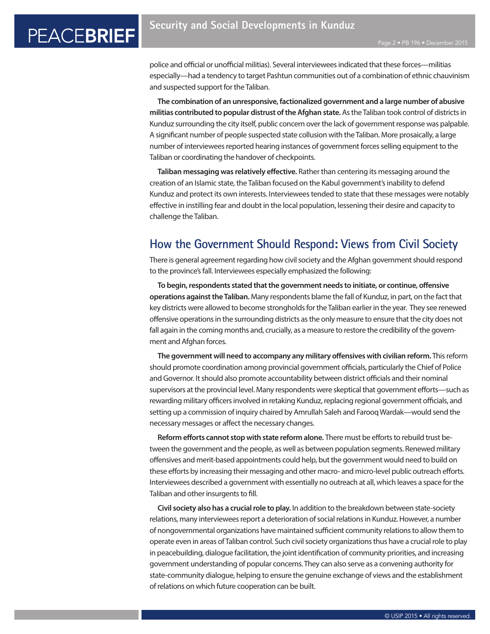# **PEACEBRIEF**

police and official or unofficial militias). Several interviewees indicated that these forces—militias especially—had a tendency to target Pashtun communities out of a combination of ethnic chauvinism and suspected support for the Taliban.

**The combination of an unresponsive, factionalized government and a large number of abusive militias contributed to popular distrust of the Afghan state.** As the Taliban took control of districts in Kunduz surrounding the city itself, public concern over the lack of government response was palpable. A significant number of people suspected state collusion with the Taliban. More prosaically, a large number of interviewees reported hearing instances of government forces selling equipment to the Taliban or coordinating the handover of checkpoints.

**Taliban messaging was relatively effective.** Rather than centering its messaging around the creation of an Islamic state, the Taliban focused on the Kabul government's inability to defend Kunduz and protect its own interests. Interviewees tended to state that these messages were notably effective in instilling fear and doubt in the local population, lessening their desire and capacity to challenge the Taliban.

## **How the Government Should Respond: Views from Civil Society**

There is general agreement regarding how civil society and the Afghan government should respond to the province's fall. Interviewees especially emphasized the following:

**To begin, respondents stated that the government needs to initiate, or continue, offensive operations against the Taliban.** Many respondents blame the fall of Kunduz, in part, on the fact that key districts were allowed to become strongholds for the Taliban earlier in the year. They see renewed offensive operations in the surrounding districts as the only measure to ensure that the city does not fall again in the coming months and, crucially, as a measure to restore the credibility of the government and Afghan forces.

**The government will need to accompany any military offensives with civilian reform.** This reform should promote coordination among provincial government officials, particularly the Chief of Police and Governor. It should also promote accountability between district officials and their nominal supervisors at the provincial level. Many respondents were skeptical that government efforts—such as rewarding military officers involved in retaking Kunduz, replacing regional government officials, and setting up a commission of inquiry chaired by Amrullah Saleh and Farooq Wardak—would send the necessary messages or affect the necessary changes.

**Reform efforts cannot stop with state reform alone.** There must be efforts to rebuild trust between the government and the people, as well as between population segments. Renewed military offensives and merit-based appointments could help, but the government would need to build on these efforts by increasing their messaging and other macro- and micro-level public outreach efforts. Interviewees described a government with essentially no outreach at all, which leaves a space for the Taliban and other insurgents to fill.

**Civil society also has a crucial role to play.** In addition to the breakdown between state-society relations, many interviewees report a deterioration of social relations in Kunduz. However, a number of nongovernmental organizations have maintained sufficient community relations to allow them to operate even in areas of Taliban control. Such civil society organizations thus have a crucial role to play in peacebuilding, dialogue facilitation, the joint identification of community priorities, and increasing government understanding of popular concerns. They can also serve as a convening authority for state-community dialogue, helping to ensure the genuine exchange of views and the establishment of relations on which future cooperation can be built.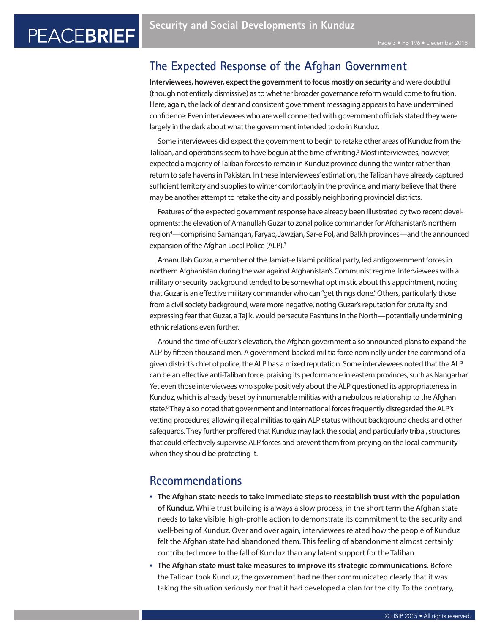## **The Expected Response of the Afghan Government**

**Interviewees, however, expect the government to focus mostly on security** and were doubtful (though not entirely dismissive) as to whether broader governance reform would come to fruition. Here, again, the lack of clear and consistent government messaging appears to have undermined confidence: Even interviewees who are well connected with government officials stated they were largely in the dark about what the government intended to do in Kunduz.

Some interviewees did expect the government to begin to retake other areas of Kunduz from the Taliban, and operations seem to have begun at the time of writing.<sup>3</sup> Most interviewees, however, expected a majority of Taliban forces to remain in Kunduz province during the winter rather than return to safe havens in Pakistan. In these interviewees' estimation, the Taliban have already captured sufficient territory and supplies to winter comfortably in the province, and many believe that there may be another attempt to retake the city and possibly neighboring provincial districts.

Features of the expected government response have already been illustrated by two recent developments: the elevation of Amanullah Guzar to zonal police commander for Afghanistan's northern region4 —comprising Samangan, Faryab, Jawzjan, Sar-e Pol, and Balkh provinces—and the announced expansion of the Afghan Local Police (ALP).<sup>5</sup>

Amanullah Guzar, a member of the Jamiat-e Islami political party, led antigovernment forces in northern Afghanistan during the war against Afghanistan's Communist regime. Interviewees with a military or security background tended to be somewhat optimistic about this appointment, noting that Guzar is an effective military commander who can "get things done." Others, particularly those from a civil society background, were more negative, noting Guzar's reputation for brutality and expressing fear that Guzar, a Tajik, would persecute Pashtuns in the North—potentially undermining ethnic relations even further.

Around the time of Guzar's elevation, the Afghan government also announced plans to expand the ALP by fifteen thousand men. A government-backed militia force nominally under the command of a given district's chief of police, the ALP has a mixed reputation. Some interviewees noted that the ALP can be an effective anti-Taliban force, praising its performance in eastern provinces, such as Nangarhar. Yet even those interviewees who spoke positively about the ALP questioned its appropriateness in Kunduz, which is already beset by innumerable militias with a nebulous relationship to the Afghan state.<sup>6</sup> They also noted that government and international forces frequently disregarded the ALP's vetting procedures, allowing illegal militias to gain ALP status without background checks and other safeguards. They further proffered that Kunduz may lack the social, and particularly tribal, structures that could effectively supervise ALP forces and prevent them from preying on the local community when they should be protecting it.

## **Recommendations**

- **• The Afghan state needs to take immediate steps to reestablish trust with the population of Kunduz.** While trust building is always a slow process, in the short term the Afghan state needs to take visible, high-profile action to demonstrate its commitment to the security and well-being of Kunduz. Over and over again, interviewees related how the people of Kunduz felt the Afghan state had abandoned them. This feeling of abandonment almost certainly contributed more to the fall of Kunduz than any latent support for the Taliban.
- **• The Afghan state must take measures to improve its strategic communications.** Before the Taliban took Kunduz, the government had neither communicated clearly that it was taking the situation seriously nor that it had developed a plan for the city. To the contrary,